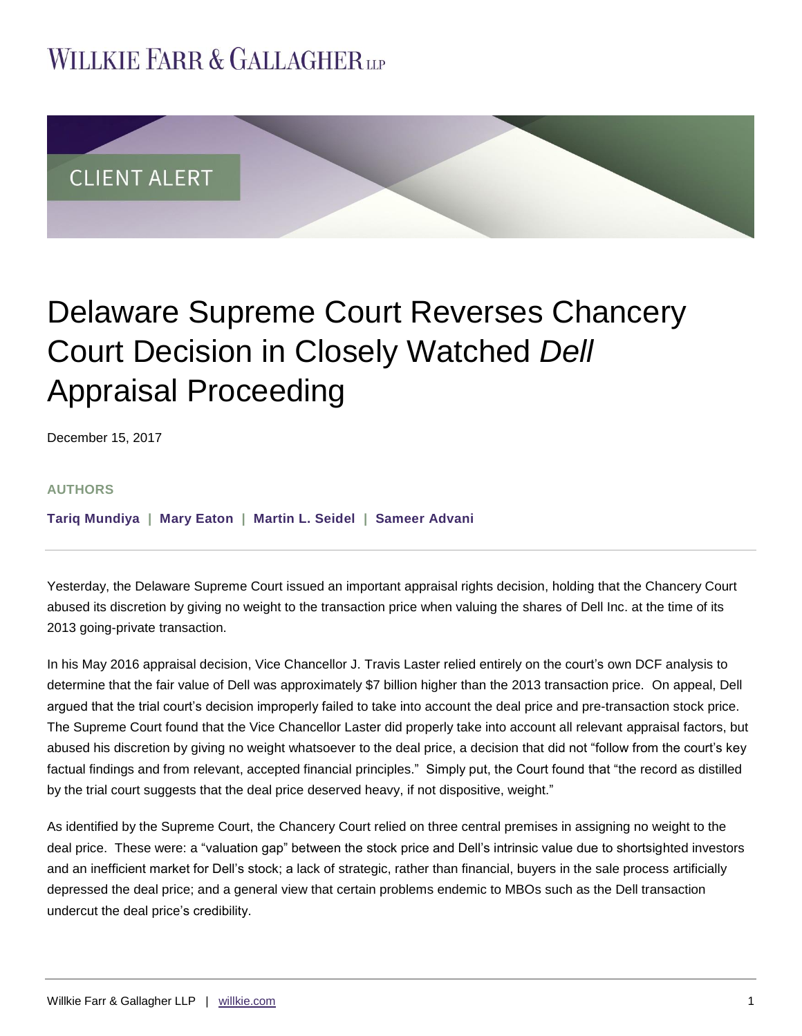## **WILLKIE FARR & GALLAGHERUP**



# Delaware Supreme Court Reverses Chancery Court Decision in Closely Watched *Dell* Appraisal Proceeding

December 15, 2017

#### **AUTHORS**

**[Tariq Mundiya](http://www.willkie.com/professionals/m/mundiya-tariq) | [Mary Eaton](http://www.willkie.com/professionals/e/eaton-mary) | [Martin L. Seidel](http://www.willkie.com/professionals/s/seidel-martin) | [Sameer Advani](http://www.willkie.com/professionals/a/advani-sameer)**

Yesterday, the Delaware Supreme Court issued an important appraisal rights decision, holding that the Chancery Court abused its discretion by giving no weight to the transaction price when valuing the shares of Dell Inc. at the time of its 2013 going-private transaction.

In his May 2016 appraisal decision, Vice Chancellor J. Travis Laster relied entirely on the court's own DCF analysis to determine that the fair value of Dell was approximately \$7 billion higher than the 2013 transaction price. On appeal, Dell argued that the trial court's decision improperly failed to take into account the deal price and pre-transaction stock price. The Supreme Court found that the Vice Chancellor Laster did properly take into account all relevant appraisal factors, but abused his discretion by giving no weight whatsoever to the deal price, a decision that did not "follow from the court's key factual findings and from relevant, accepted financial principles." Simply put, the Court found that "the record as distilled by the trial court suggests that the deal price deserved heavy, if not dispositive, weight."

As identified by the Supreme Court, the Chancery Court relied on three central premises in assigning no weight to the deal price. These were: a "valuation gap" between the stock price and Dell's intrinsic value due to shortsighted investors and an inefficient market for Dell's stock; a lack of strategic, rather than financial, buyers in the sale process artificially depressed the deal price; and a general view that certain problems endemic to MBOs such as the Dell transaction undercut the deal price's credibility.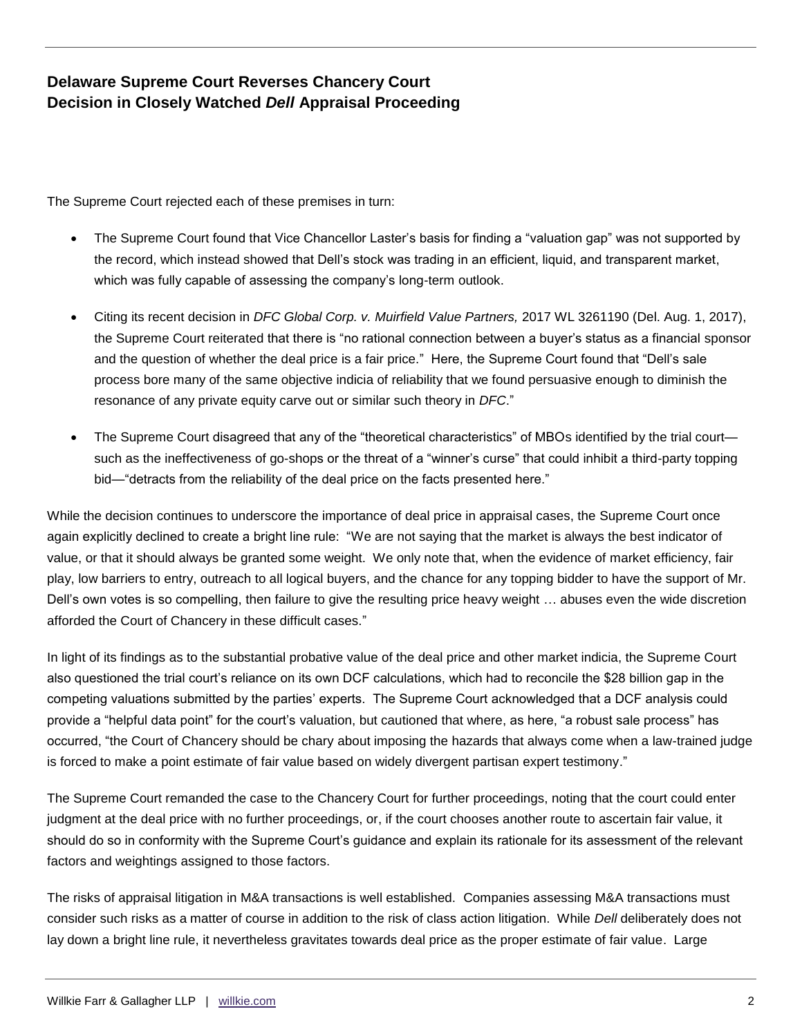## **Delaware Supreme Court Reverses Chancery Court Decision in Closely Watched** *Dell* **Appraisal Proceeding**

The Supreme Court rejected each of these premises in turn:

- The Supreme Court found that Vice Chancellor Laster's basis for finding a "valuation gap" was not supported by the record, which instead showed that Dell's stock was trading in an efficient, liquid, and transparent market, which was fully capable of assessing the company's long-term outlook.
- Citing its recent decision in *DFC Global Corp. v. Muirfield Value Partners,* 2017 WL 3261190 (Del. Aug. 1, 2017), the Supreme Court reiterated that there is "no rational connection between a buyer's status as a financial sponsor and the question of whether the deal price is a fair price." Here, the Supreme Court found that "Dell's sale process bore many of the same objective indicia of reliability that we found persuasive enough to diminish the resonance of any private equity carve out or similar such theory in *DFC*."
- The Supreme Court disagreed that any of the "theoretical characteristics" of MBOs identified by the trial court such as the ineffectiveness of go-shops or the threat of a "winner's curse" that could inhibit a third-party topping bid—"detracts from the reliability of the deal price on the facts presented here."

While the decision continues to underscore the importance of deal price in appraisal cases, the Supreme Court once again explicitly declined to create a bright line rule: "We are not saying that the market is always the best indicator of value, or that it should always be granted some weight. We only note that, when the evidence of market efficiency, fair play, low barriers to entry, outreach to all logical buyers, and the chance for any topping bidder to have the support of Mr. Dell's own votes is so compelling, then failure to give the resulting price heavy weight … abuses even the wide discretion afforded the Court of Chancery in these difficult cases."

In light of its findings as to the substantial probative value of the deal price and other market indicia, the Supreme Court also questioned the trial court's reliance on its own DCF calculations, which had to reconcile the \$28 billion gap in the competing valuations submitted by the parties' experts. The Supreme Court acknowledged that a DCF analysis could provide a "helpful data point" for the court's valuation, but cautioned that where, as here, "a robust sale process" has occurred, "the Court of Chancery should be chary about imposing the hazards that always come when a law-trained judge is forced to make a point estimate of fair value based on widely divergent partisan expert testimony."

The Supreme Court remanded the case to the Chancery Court for further proceedings, noting that the court could enter judgment at the deal price with no further proceedings, or, if the court chooses another route to ascertain fair value, it should do so in conformity with the Supreme Court's guidance and explain its rationale for its assessment of the relevant factors and weightings assigned to those factors.

The risks of appraisal litigation in M&A transactions is well established. Companies assessing M&A transactions must consider such risks as a matter of course in addition to the risk of class action litigation. While *Dell* deliberately does not lay down a bright line rule, it nevertheless gravitates towards deal price as the proper estimate of fair value. Large